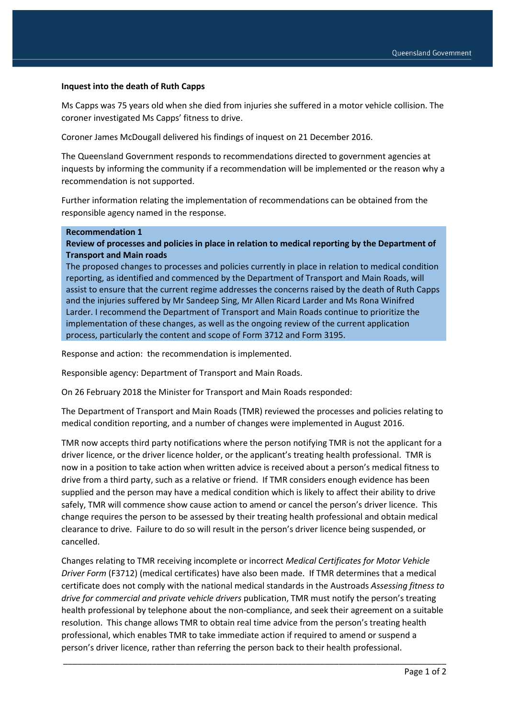## **Inquest into the death of Ruth Capps**

Ms Capps was 75 years old when she died from injuries she suffered in a motor vehicle collision. The coroner investigated Ms Capps' fitness to drive.

Coroner James McDougall delivered his findings of inquest on 21 December 2016.

The Queensland Government responds to recommendations directed to government agencies at inquests by informing the community if a recommendation will be implemented or the reason why a recommendation is not supported.

Further information relating the implementation of recommendations can be obtained from the responsible agency named in the response.

## **Recommendation 1**

## **Review of processes and policies in place in relation to medical reporting by the Department of Transport and Main roads**

The proposed changes to processes and policies currently in place in relation to medical condition reporting, as identified and commenced by the Department of Transport and Main Roads, will assist to ensure that the current regime addresses the concerns raised by the death of Ruth Capps and the injuries suffered by Mr Sandeep Sing, Mr Allen Ricard Larder and Ms Rona Winifred Larder. I recommend the Department of Transport and Main Roads continue to prioritize the implementation of these changes, as well as the ongoing review of the current application process, particularly the content and scope of Form 3712 and Form 3195.

Response and action: the recommendation is implemented.

Responsible agency: Department of Transport and Main Roads.

On 26 February 2018 the Minister for Transport and Main Roads responded:

The Department of Transport and Main Roads (TMR) reviewed the processes and policies relating to medical condition reporting, and a number of changes were implemented in August 2016.

TMR now accepts third party notifications where the person notifying TMR is not the applicant for a driver licence, or the driver licence holder, or the applicant's treating health professional. TMR is now in a position to take action when written advice is received about a person's medical fitness to drive from a third party, such as a relative or friend. If TMR considers enough evidence has been supplied and the person may have a medical condition which is likely to affect their ability to drive safely, TMR will commence show cause action to amend or cancel the person's driver licence. This change requires the person to be assessed by their treating health professional and obtain medical clearance to drive. Failure to do so will result in the person's driver licence being suspended, or cancelled.

Changes relating to TMR receiving incomplete or incorrect *Medical Certificates for Motor Vehicle Driver Form* (F3712) (medical certificates) have also been made. If TMR determines that a medical certificate does not comply with the national medical standards in the Austroads *Assessing fitness to drive for commercial and private vehicle drivers* publication, TMR must notify the person's treating health professional by telephone about the non-compliance, and seek their agreement on a suitable resolution. This change allows TMR to obtain real time advice from the person's treating health professional, which enables TMR to take immediate action if required to amend or suspend a person's driver licence, rather than referring the person back to their health professional.

\_\_\_\_\_\_\_\_\_\_\_\_\_\_\_\_\_\_\_\_\_\_\_\_\_\_\_\_\_\_\_\_\_\_\_\_\_\_\_\_\_\_\_\_\_\_\_\_\_\_\_\_\_\_\_\_\_\_\_\_\_\_\_\_\_\_\_\_\_\_\_\_\_\_\_\_\_\_\_\_\_\_